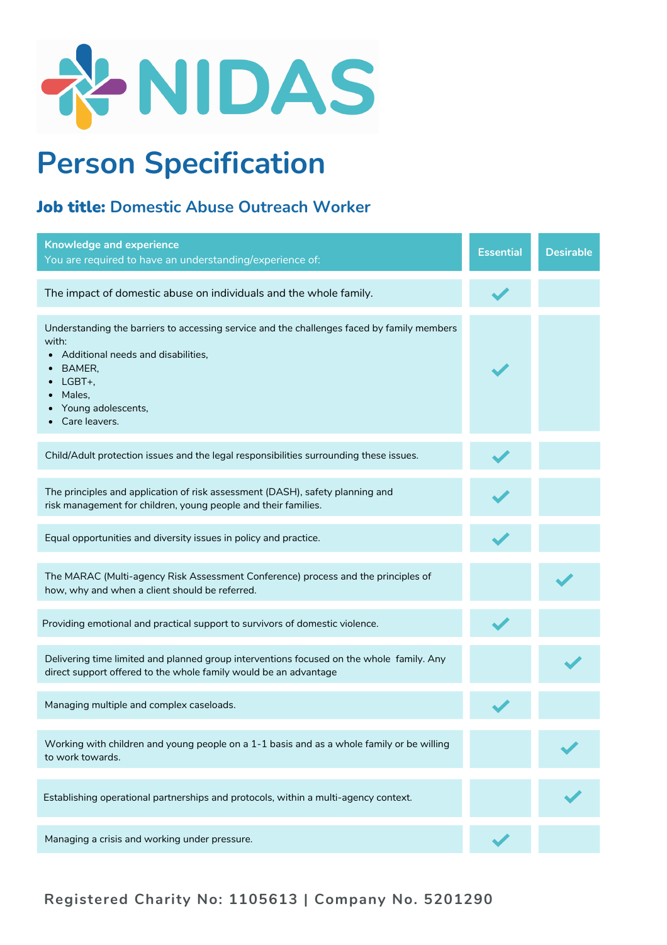

## **Person Specification**

## Job title: **Domestic Abuse Outreach Worker**

| <b>Knowledge and experience</b><br>You are required to have an understanding/experience of:                                                                                                                    | <b>Essential</b> | <b>Desirable</b> |
|----------------------------------------------------------------------------------------------------------------------------------------------------------------------------------------------------------------|------------------|------------------|
| The impact of domestic abuse on individuals and the whole family.                                                                                                                                              |                  |                  |
| Understanding the barriers to accessing service and the challenges faced by family members<br>with:<br>Additional needs and disabilities,<br>BAMER,<br>LGBT+,<br>Males,<br>Young adolescents,<br>Care leavers. |                  |                  |
| Child/Adult protection issues and the legal responsibilities surrounding these issues.                                                                                                                         |                  |                  |
| The principles and application of risk assessment (DASH), safety planning and<br>risk management for children, young people and their families.                                                                |                  |                  |
| Equal opportunities and diversity issues in policy and practice.                                                                                                                                               |                  |                  |
| The MARAC (Multi-agency Risk Assessment Conference) process and the principles of<br>how, why and when a client should be referred.                                                                            |                  |                  |
| Providing emotional and practical support to survivors of domestic violence.                                                                                                                                   |                  |                  |
| Delivering time limited and planned group interventions focused on the whole family. Any<br>direct support offered to the whole family would be an advantage                                                   |                  |                  |
| Managing multiple and complex caseloads.                                                                                                                                                                       |                  |                  |
| Working with children and young people on a 1-1 basis and as a whole family or be willing<br>to work towards.                                                                                                  |                  |                  |
| Establishing operational partnerships and protocols, within a multi-agency context.                                                                                                                            |                  |                  |
| Managing a crisis and working under pressure.                                                                                                                                                                  |                  |                  |

**Registered Charity No: 1105613 | Company No. 5201290**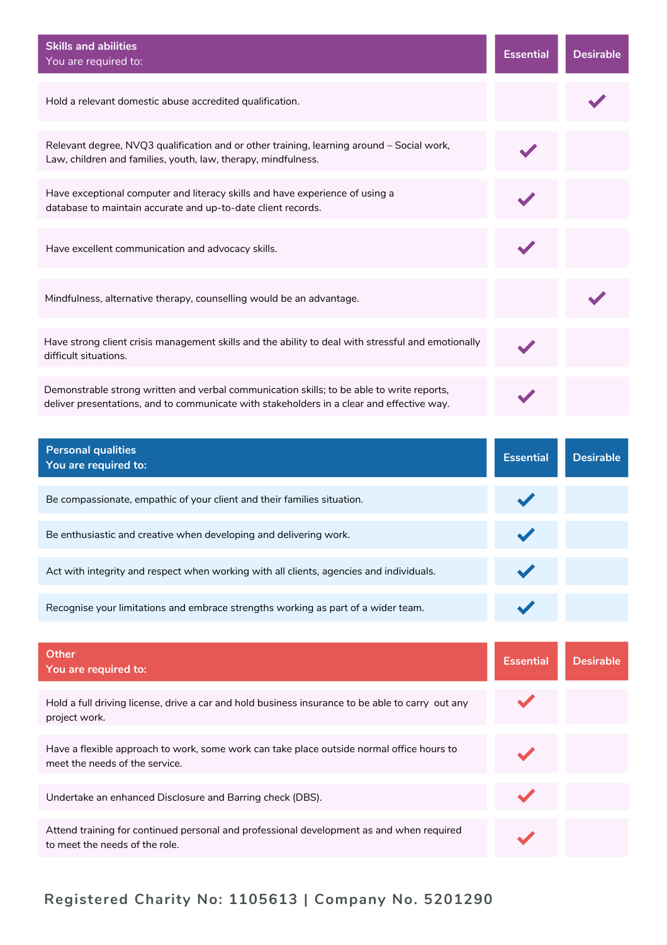| <b>Skills and abilities</b><br>You are required to:                                                                                                                                    | <b>Essential</b> | <b>Desirable</b> |
|----------------------------------------------------------------------------------------------------------------------------------------------------------------------------------------|------------------|------------------|
| Hold a relevant domestic abuse accredited qualification.                                                                                                                               |                  |                  |
| Relevant degree, NVQ3 qualification and or other training, learning around - Social work,<br>Law, children and families, youth, law, therapy, mindfulness.                             |                  |                  |
| Have exceptional computer and literacy skills and have experience of using a<br>database to maintain accurate and up-to-date client records.                                           |                  |                  |
| Have excellent communication and advocacy skills.                                                                                                                                      |                  |                  |
| Mindfulness, alternative therapy, counselling would be an advantage.                                                                                                                   |                  |                  |
| Have strong client crisis management skills and the ability to deal with stressful and emotionally<br>difficult situations.                                                            |                  |                  |
| Demonstrable strong written and verbal communication skills; to be able to write reports,<br>deliver presentations, and to communicate with stakeholders in a clear and effective way. |                  |                  |
|                                                                                                                                                                                        |                  |                  |
| <b>Personal qualities</b><br>You are required to:                                                                                                                                      | <b>Essential</b> | <b>Desirable</b> |
| Be compassionate, empathic of your client and their families situation.                                                                                                                |                  |                  |
| Be enthusiastic and creative when developing and delivering work.                                                                                                                      |                  |                  |
| Act with integrity and respect when working with all clients, agencies and individuals.                                                                                                |                  |                  |
| Recognise your limitations and embrace strengths working as part of a wider team.                                                                                                      |                  |                  |
| <b>Other</b><br>You are required to:                                                                                                                                                   | <b>Essential</b> | <b>Desirable</b> |
| Hold a full driving license, drive a car and hold business insurance to be able to carry out any<br>project work.                                                                      |                  |                  |
| Have a flexible approach to work, some work can take place outside normal office hours to<br>meet the needs of the service.                                                            |                  |                  |

Attend training for continued personal and professional development as and when required to meet the needs of the role.

## **Registered Charity No: 1105613 | Company No. 5201290**